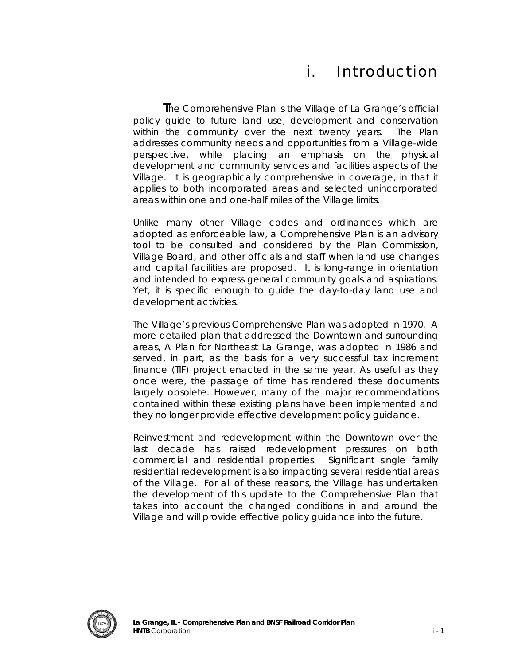# i. Introduction

 **T**he Comprehensive Plan is the Village of La Grange's official *policy guide* to future land use, development and conservation within the community over the next twenty years. The Plan addresses community needs and opportunities from a Village-wide perspective, while placing an emphasis on the physical development and community services and facilities aspects of the Village. It is geographically comprehensive in coverage, in that it applies to both incorporated areas and selected unincorporated areas within one and one-half miles of the Village limits.

Unlike many other Village codes and ordinances which are adopted as enforceable law, a Comprehensive Plan is an advisory tool to be consulted and considered by the Plan Commission, Village Board, and other officials and staff when land use changes and capital facilities are proposed. It is long-range in orientation and intended to express general community goals and aspirations. Yet, it is specific enough to guide the day-to-day land use and development activities.

The Village's previous Comprehensive Plan was adopted in 1970. A more detailed plan that addressed the Downtown and surrounding areas, *A Plan for Northeast La Grange,* was adopted in 1986 and served, in part, as the basis for a very successful tax increment finance (TIF) project enacted in the same year. As useful as they once were, the passage of time has rendered these documents largely obsolete. However, many of the major recommendations contained within these existing plans have been implemented and they no longer provide effective development policy guidance.

Reinvestment and redevelopment within the Downtown over the last decade has raised redevelopment pressures on both commercial and residential properties. Significant single family residential redevelopment is also impacting several residential areas of the Village. For all of these reasons, the Village has undertaken the development of this update to the Comprehensive Plan that takes into account the changed conditions in and around the Village and will provide effective policy guidance into the future.

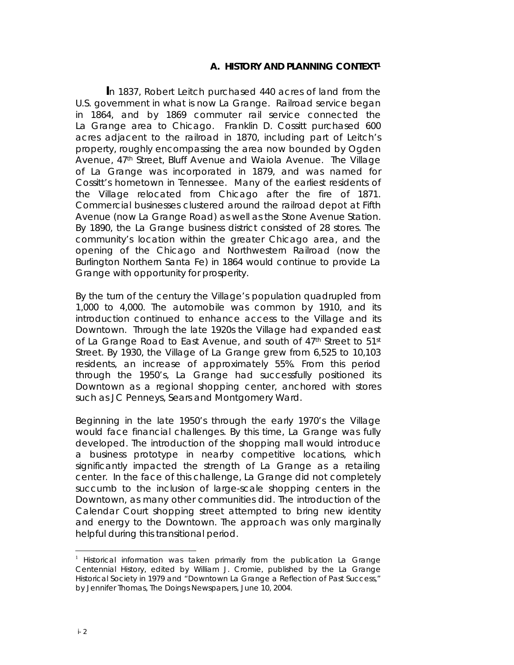# A. HISTORY AND PLANNING CONTEXT<sup>[1](#page-1-0)</sup>

 **I**n 1837, Robert Leitch purchased 440 acres of land from the U.S. government in what is now La Grange. Railroad service began in 1864, and by 1869 commuter rail service connected the La Grange area to Chicago. Franklin D. Cossitt purchased 600 acres adjacent to the railroad in 1870, including part of Leitch's property, roughly encompassing the area now bounded by Ogden Avenue, 47<sup>th</sup> Street, Bluff Avenue and Waiola Avenue. The Village of La Grange was incorporated in 1879, and was named for Cossitt's hometown in Tennessee. Many of the earliest residents of the Village relocated from Chicago after the fire of 1871. Commercial businesses clustered around the railroad depot at Fifth Avenue (now La Grange Road) as well as the Stone Avenue Station. By 1890, the La Grange business district consisted of 28 stores. The community's location within the greater Chicago area, and the opening of the Chicago and Northwestern Railroad (now the Burlington Northern Santa Fe) in 1864 would continue to provide La Grange with opportunity for prosperity.

By the turn of the century the Village's population quadrupled from 1,000 to 4,000. The automobile was common by 1910, and its introduction continued to enhance access to the Village and its Downtown. Through the late 1920s the Village had expanded east of La Grange Road to East Avenue, and south of 47<sup>th</sup> Street to 51<sup>st</sup> Street. By 1930, the Village of La Grange grew from 6,525 to 10,103 residents, an increase of approximately 55%. From this period through the 1950's, La Grange had successfully positioned its Downtown as a regional shopping center, anchored with stores such as JC Penneys, Sears and Montgomery Ward.

Beginning in the late 1950's through the early 1970's the Village would face financial challenges. By this time, La Grange was fully developed. The introduction of the shopping mall would introduce a business prototype in nearby competitive locations, which significantly impacted the strength of La Grange as a retailing center. In the face of this challenge, La Grange did not completely succumb to the inclusion of large-scale shopping centers in the Downtown, as many other communities did. The introduction of the Calendar Court shopping street attempted to bring new identity and energy to the Downtown. The approach was only marginally helpful during this transitional period.

 $\overline{a}$ 

<span id="page-1-0"></span><sup>1</sup> Historical information was taken primarily from the publication *La Grange Centennial History*, edited by William J. Cromie, published by the La Grange Historical Society in 1979 and "Downtown La Grange a Reflection of Past Success," by Jennifer Thomas, *The Doings Newspapers*, June 10, 2004.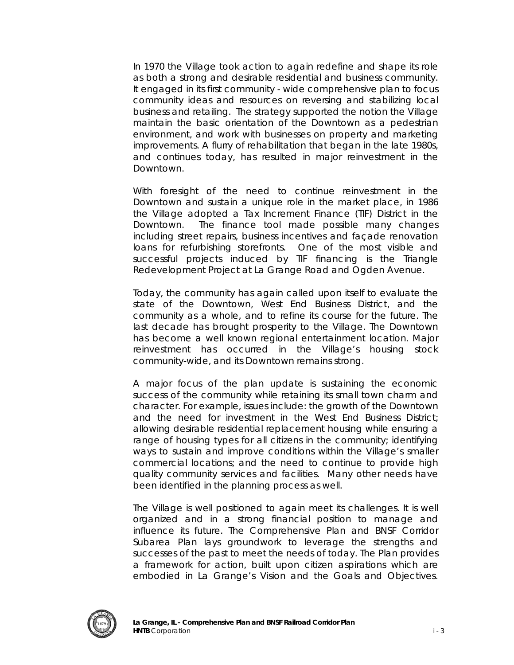In 1970 the Village took action to again redefine and shape its role as both a strong and desirable residential and business community. It engaged in its first community - wide comprehensive plan to focus community ideas and resources on reversing and stabilizing local business and retailing. The strategy supported the notion the Village maintain the basic orientation of the Downtown as a pedestrian environment, and work with businesses on property and marketing improvements. A flurry of rehabilitation that began in the late 1980s, and continues today, has resulted in major reinvestment in the Downtown.

With foresight of the need to continue reinvestment in the Downtown and sustain a unique role in the market place, in 1986 the Village adopted a Tax Increment Finance (TIF) District in the Downtown. The finance tool made possible many changes including street repairs, business incentives and façade renovation loans for refurbishing storefronts. One of the most visible and successful projects induced by TIF financing is the Triangle Redevelopment Project at La Grange Road and Ogden Avenue.

Today, the community has again called upon itself to evaluate the state of the Downtown, West End Business District, and the community as a whole, and to refine its course for the future. The last decade has brought prosperity to the Village. The Downtown has become a well known regional entertainment location. Major reinvestment has occurred in the Village's housing stock community-wide, and its Downtown remains strong.

A major focus of the plan update is sustaining the economic success of the community while retaining its small town charm and character. For example, issues include: the growth of the Downtown and the need for investment in the West End Business District; allowing desirable residential replacement housing while ensuring a range of housing types for all citizens in the community; identifying ways to sustain and improve conditions within the Village's smaller commercial locations; and the need to continue to provide high quality community services and facilities. Many other needs have been identified in the planning process as well.

The Village is well positioned to again meet its challenges. It is well organized and in a strong financial position to manage and influence its future. The Comprehensive Plan and BNSF Corridor Subarea Plan lays groundwork to leverage the strengths and successes of the past to meet the needs of today. The Plan provides a framework for action, built upon citizen aspirations which are embodied in La Grange's Vision and the Goals and Objectives.

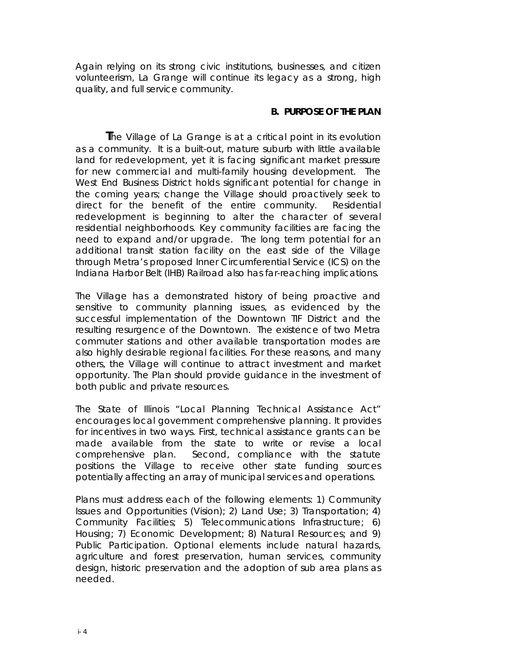Again relying on its strong civic institutions, businesses, and citizen volunteerism, La Grange will continue its legacy as a strong, high quality, and full service community.

### **B. PURPOSE OF THE PLAN**

 **T**he Village of La Grange is at a critical point in its evolution as a community. It is a built-out, mature suburb with little available land for redevelopment, yet it is facing significant market pressure for new commercial and multi-family housing development. The West End Business District holds significant potential for change in the coming years; change the Village should proactively seek to direct for the benefit of the entire community. Residential redevelopment is beginning to alter the character of several residential neighborhoods. Key community facilities are facing the need to expand and/or upgrade. The long term potential for an additional transit station facility on the east side of the Village through Metra's proposed Inner Circumferential Service (ICS) on the Indiana Harbor Belt (IHB) Railroad also has far-reaching implications.

The Village has a demonstrated history of being proactive and sensitive to community planning issues, as evidenced by the successful implementation of the Downtown TIF District and the resulting resurgence of the Downtown. The existence of two Metra commuter stations and other available transportation modes are also highly desirable regional facilities. For these reasons, and many others, the Village will continue to attract investment and market opportunity. The Plan should provide guidance in the investment of both public and private resources.

The State of Illinois "Local Planning Technical Assistance Act" encourages local government comprehensive planning. It provides for incentives in two ways. First, technical assistance grants can be made available from the state to write or revise a local comprehensive plan. Second, compliance with the statute positions the Village to receive other state funding sources potentially affecting an array of municipal services and operations.

Plans must address each of the following elements: 1) Community Issues and Opportunities (Vision); 2) Land Use; 3) Transportation; 4) Community Facilities; 5) Telecommunications Infrastructure; 6) Housing; 7) Economic Development; 8) Natural Resources; and 9) Public Participation. Optional elements include natural hazards, agriculture and forest preservation, human services, community design, historic preservation and the adoption of sub area plans as needed.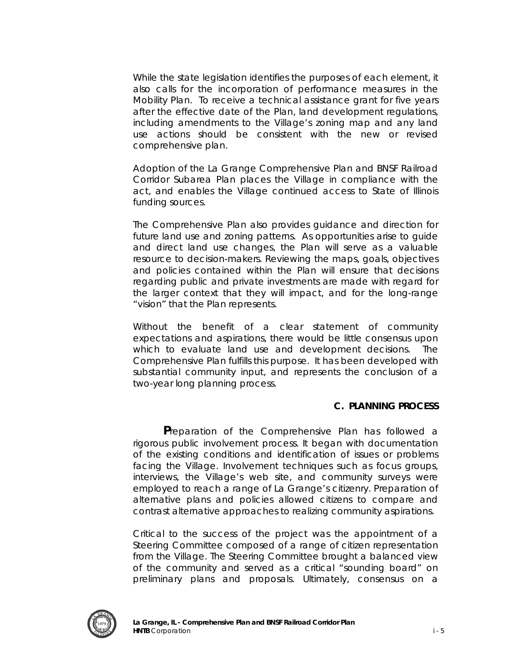While the state legislation identifies the purposes of each element, it also calls for the incorporation of performance measures in the Mobility Plan. To receive a technical assistance grant for five years after the effective date of the Plan, land development regulations, including amendments to the Village's zoning map and any land use actions should be consistent with the new or revised comprehensive plan.

Adoption of the La Grange Comprehensive Plan and BNSF Railroad Corridor Subarea Plan places the Village in compliance with the act, and enables the Village continued access to State of Illinois funding sources.

The Comprehensive Plan also provides guidance and direction for future land use and zoning patterns. As opportunities arise to guide and direct land use changes, the Plan will serve as a valuable resource to decision-makers. Reviewing the maps, goals, objectives and policies contained within the Plan will ensure that decisions regarding public and private investments are made with regard for the larger context that they will impact, and for the long-range "vision" that the Plan represents.

Without the benefit of a clear statement of community expectations and aspirations, there would be little consensus upon which to evaluate land use and development decisions. The Comprehensive Plan fulfills this purpose. It has been developed with substantial community input, and represents the conclusion of a two-year long planning process.

#### **C. PLANNING PROCESS**

 **P**reparation of the Comprehensive Plan has followed a rigorous public involvement process. It began with documentation of the existing conditions and identification of issues or problems facing the Village. Involvement techniques such as focus groups, interviews, the Village's web site, and community surveys were employed to reach a range of La Grange's citizenry. Preparation of alternative plans and policies allowed citizens to compare and contrast alternative approaches to realizing community aspirations.

Critical to the success of the project was the appointment of a Steering Committee composed of a range of citizen representation from the Village. The Steering Committee brought a balanced view of the community and served as a critical "sounding board" on preliminary plans and proposals. Ultimately, consensus on a

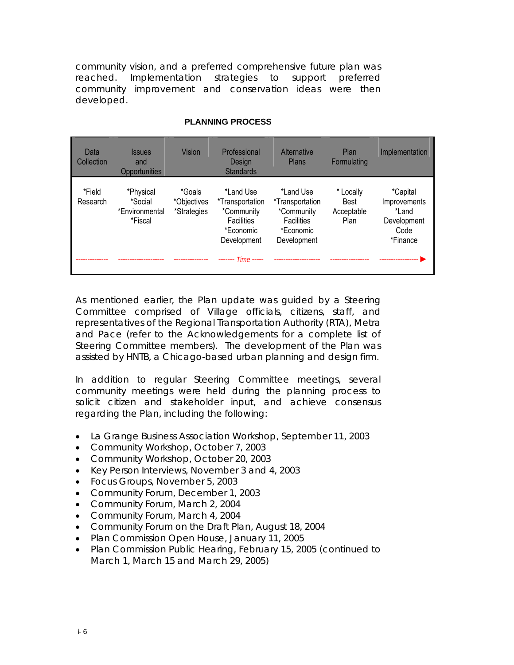community vision, and a preferred comprehensive future plan was reached. Implementation strategies to support preferred community improvement and conservation ideas were then developed.

| Data<br>Collection | <b>Issues</b><br>and<br>Opportunities             | Vision                               | Professional<br>Desian<br><b>Standards</b>                                                  | Alternative<br>Plans                                                                        | Plan<br>Formulating                            | Implementation                                                              |
|--------------------|---------------------------------------------------|--------------------------------------|---------------------------------------------------------------------------------------------|---------------------------------------------------------------------------------------------|------------------------------------------------|-----------------------------------------------------------------------------|
| *Field<br>Research | *Physical<br>*Social<br>*Environmental<br>*Fiscal | *Goals<br>*Objectives<br>*Strategies | *Land Use<br>*Transportation<br>*Community<br><b>Facilities</b><br>*Economic<br>Development | *Land Use<br>*Transportation<br>*Community<br><b>Facilities</b><br>*Economic<br>Development | * Locally<br><b>Best</b><br>Acceptable<br>Plan | <i>*Capital</i><br>Improvements<br>*Land<br>Development<br>Code<br>*Finance |
|                    |                                                   |                                      | $---$ Time $---$                                                                            |                                                                                             |                                                |                                                                             |

## **PLANNING PROCESS**

As mentioned earlier, the Plan update was guided by a Steering Committee comprised of Village officials, citizens, staff, and representatives of the Regional Transportation Authority (RTA), Metra and Pace (refer to the Acknowledgements for a complete list of Steering Committee members). The development of the Plan was assisted by HNTB, a Chicago-based urban planning and design firm.

In addition to regular Steering Committee meetings, several community meetings were held during the planning process to solicit citizen and stakeholder input, and achieve consensus regarding the Plan, including the following:

- La Grange Business Association Workshop, September 11, 2003
- Community Workshop, October 7, 2003
- Community Workshop, October 20, 2003
- Key Person Interviews, November 3 and 4, 2003
- Focus Groups, November 5, 2003
- Community Forum, December 1, 2003
- Community Forum, March 2, 2004
- Community Forum, March 4, 2004
- Community Forum on the Draft Plan, August 18, 2004
- Plan Commission Open House, January 11, 2005
- Plan Commission Public Hearing, February 15, 2005 (continued to March 1, March 15 and March 29, 2005)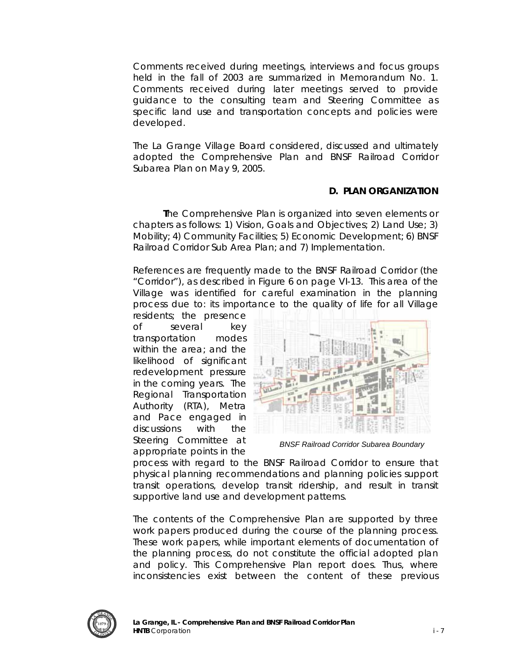Comments received during meetings, interviews and focus groups held in the fall of 2003 are summarized in *Memorandum No. 1*. Comments received during later meetings served to provide guidance to the consulting team and Steering Committee as specific land use and transportation concepts and policies were developed.

The La Grange Village Board considered, discussed and ultimately adopted the *Comprehensive Plan and BNSF Railroad Corridor Subarea Plan* on May 9, 2005.

# **D. PLAN ORGANIZATION**

 **T**he Comprehensive Plan is organized into seven elements or chapters as follows: 1) Vision, Goals and Objectives; 2) Land Use; 3) Mobility; 4) Community Facilities; 5) Economic Development; 6) BNSF Railroad Corridor Sub Area Plan; and 7) Implementation.

References are frequently made to the BNSF Railroad Corridor (the "Corridor"), as described in Figure 6 on page VI-13. This area of the Village was identified for careful examination in the planning process due to: its importance to the quality of life for all Village

residents; the presence of several key transportation modes within the area; and the likelihood of significant redevelopment pressure in the coming years. The Regional Transportation Authority (RTA), Metra and Pace engaged in discussions with the Steering Committee at appropriate points in the



*BNSF Railroad Corridor Subarea Boundary* 

process with regard to the BNSF Railroad Corridor to ensure that physical planning recommendations and planning policies support transit operations, develop transit ridership, and result in transit supportive land use and development patterns.

The contents of the Comprehensive Plan are supported by three work papers produced during the course of the planning process. These work papers, while important elements of documentation of the planning process, do not constitute the official adopted plan and policy. This Comprehensive Plan report does. Thus, where inconsistencies exist between the content of these previous

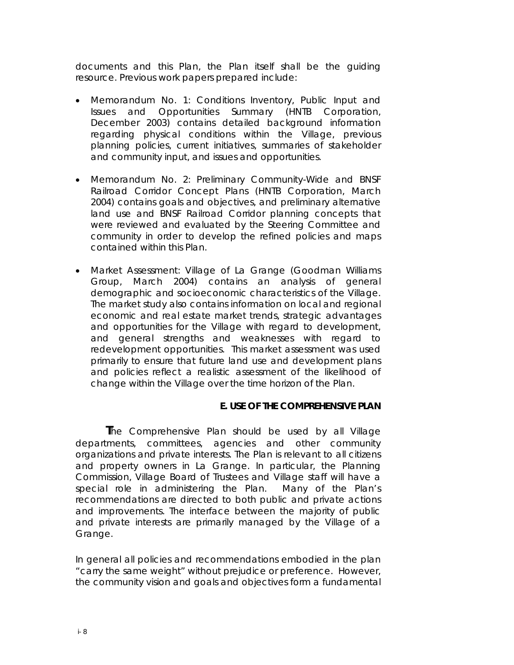documents and this Plan, the Plan itself shall be the guiding resource. Previous work papers prepared include:

- *Memorandum No. 1: Conditions Inventory, Public Input and Issues and Opportunities Summary* (HNTB Corporation, December 2003) contains detailed background information regarding physical conditions within the Village, previous planning policies, current initiatives, summaries of stakeholder and community input, and issues and opportunities.
- *Memorandum No. 2: Preliminary Community-Wide and BNSF Railroad Corridor Concept Plans* (HNTB Corporation, March 2004) contains goals and objectives, and preliminary alternative land use and BNSF Railroad Corridor planning concepts that were reviewed and evaluated by the Steering Committee and community in order to develop the refined policies and maps contained within this Plan.
- *Market Assessment: Village of La Grange* (Goodman Williams Group, March 2004) contains an analysis of general demographic and socioeconomic characteristics of the Village. The market study also contains information on local and regional economic and real estate market trends, strategic advantages and opportunities for the Village with regard to development, and general strengths and weaknesses with regard to redevelopment opportunities. This market assessment was used primarily to ensure that future land use and development plans and policies reflect a realistic assessment of the likelihood of change within the Village over the time horizon of the Plan.

# **E. USE OF THE COMPREHENSIVE PLAN**

**T**he Comprehensive Plan should be used by all Village departments, committees, agencies and other community organizations and private interests. The Plan is relevant to all citizens and property owners in La Grange. In particular, the Planning Commission, Village Board of Trustees and Village staff will have a special role in administering the Plan. Many of the Plan's recommendations are directed to both public and private actions and improvements. The interface between the majority of public and private interests are primarily managed by the Village of a Grange.

In general all policies and recommendations embodied in the plan "carry the same weight" without prejudice or preference. However, the community vision and goals and objectives form a fundamental